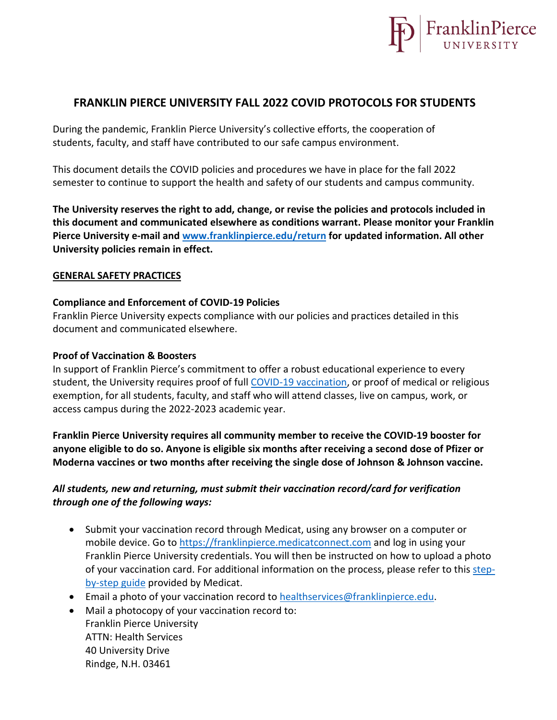

# **FRANKLIN PIERCE UNIVERSITY FALL 2022 COVID PROTOCOLS FOR STUDENTS**

During the pandemic, Franklin Pierce University's collective efforts, the cooperation of students, faculty, and staff have contributed to our safe campus environment.

This document details the COVID policies and procedures we have in place for the fall 2022 semester to continue to support the health and safety of our students and campus community.

**The University reserves the right to add, change, or revise the policies and protocols included in this document and communicated elsewhere as conditions warrant. Please monitor your Franklin Pierce University e-mail and [www.franklinpierce.edu/return](http://www.franklinpierce.edu/return) for updated information. All other University policies remain in effect.**

#### **GENERAL SAFETY PRACTICES**

#### **Compliance and Enforcement of COVID-19 Policies**

Franklin Pierce University expects compliance with our policies and practices detailed in this document and communicated elsewhere.

#### **Proof of Vaccination & Boosters**

In support of Franklin Pierce's commitment to offer a robust educational experience to every student, the University requires proof of full [COVID-19 vaccination,](https://www.cdc.gov/coronavirus/2019-ncov/vaccines/stay-up-to-date.html?CDC_AA_refVal=https%3A%2F%2Fwww.cdc.gov%2Fcoronavirus%2F2019-ncov%2Fvaccines%2Ffully-vaccinated.html) or proof of medical or religious exemption, for all students, faculty, and staff who will attend classes, live on campus, work, or access campus during the 2022-2023 academic year.

**Franklin Pierce University requires all community member to receive the COVID-19 booster for anyone eligible to do so. Anyone is eligible six months after receiving a second dose of Pfizer or Moderna vaccines or two months after receiving the single dose of Johnson & Johnson vaccine.**

## *All students, new and returning, must submit their vaccination record/card for verification through one of the following ways:*

- Submit your vaccination record through Medicat, using any browser on a computer or mobile device. Go to [https://franklinpierce.medicatconnect.com](https://franklinpierce.medicatconnect.com/) and log in using your Franklin Pierce University credentials. You will then be instructed on how to upload a photo of your vaccination card. For additional information on the process, please refer to this [step](https://d31hzlhk6di2h5.cloudfront.net/20210720/a3/81/eb/d4/c43c0836b00910a09ae714f0/MCS_Student_Instructions_FranklinPierce_final.pdf)[by-step guide](https://d31hzlhk6di2h5.cloudfront.net/20210720/a3/81/eb/d4/c43c0836b00910a09ae714f0/MCS_Student_Instructions_FranklinPierce_final.pdf) provided by Medicat.
- Email a photo of your vaccination record to [healthservices@franklinpierce.edu.](mailto:healthservices@franklinpierce.edu)
- Mail a photocopy of your vaccination record to: Franklin Pierce University ATTN: Health Services 40 University Drive Rindge, N.H. 03461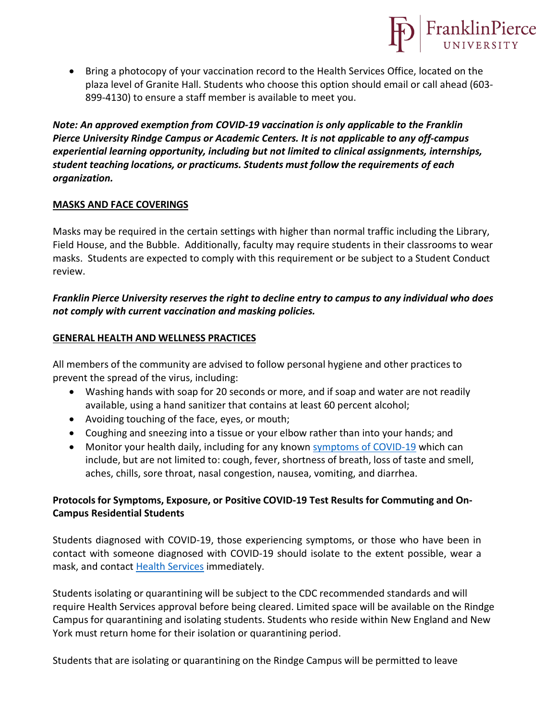• Bring a photocopy of your vaccination record to the Health Services Office, located on the plaza level of Granite Hall. Students who choose this option should email or call ahead (603- 899-4130) to ensure a staff member is available to meet you.

FranklinPierce

*Note: An approved exemption from COVID-19 vaccination is only applicable to the Franklin Pierce University Rindge Campus or Academic Centers. It is not applicable to any off-campus experiential learning opportunity, including but not limited to clinical assignments, internships, student teaching locations, or practicums. Students must follow the requirements of each organization.*

### **MASKS AND FACE COVERINGS**

Masks may be required in the certain settings with higher than normal traffic including the Library, Field House, and the Bubble. Additionally, faculty may require students in their classrooms to wear masks. Students are expected to comply with this requirement or be subject to a Student Conduct review.

## *Franklin Pierce University reserves the right to decline entry to campus to any individual who does not comply with current vaccination and masking policies.*

#### **GENERAL HEALTH AND WELLNESS PRACTICES**

All members of the community are advised to follow personal hygiene and other practices to prevent the spread of the virus, including:

- Washing hands with soap for 20 seconds or more, and if soap and water are not readily available, using a hand sanitizer that contains at least 60 percent alcohol;
- Avoiding touching of the face, eyes, or mouth;
- Coughing and sneezing into a tissue or your elbow rather than into your hands; and
- Monitor your health daily, including for any known [symptoms of COVID-19](https://www.cdc.gov/coronavirus/2019-ncov/symptoms-testing/symptoms.html) which can include, but are not limited to: cough, fever, shortness of breath, loss of taste and smell, aches, chills, sore throat, nasal congestion, nausea, vomiting, and diarrhea.

# **Protocols for Symptoms, Exposure, or Positive COVID-19 Test Results for Commuting and On-Campus Residential Students**

Students diagnosed with COVID-19, those experiencing symptoms, or those who have been in contact with someone diagnosed with COVID-19 should isolate to the extent possible, wear a mask, and contact [Health Services](mailto:healthservices@franklinpierce.edu) immediately.

Students isolating or quarantining will be subject to the CDC recommended standards and will require Health Services approval before being cleared. Limited space will be available on the Rindge Campus for quarantining and isolating students. Students who reside within New England and New York must return home for their isolation or quarantining period.

Students that are isolating or quarantining on the Rindge Campus will be permitted to leave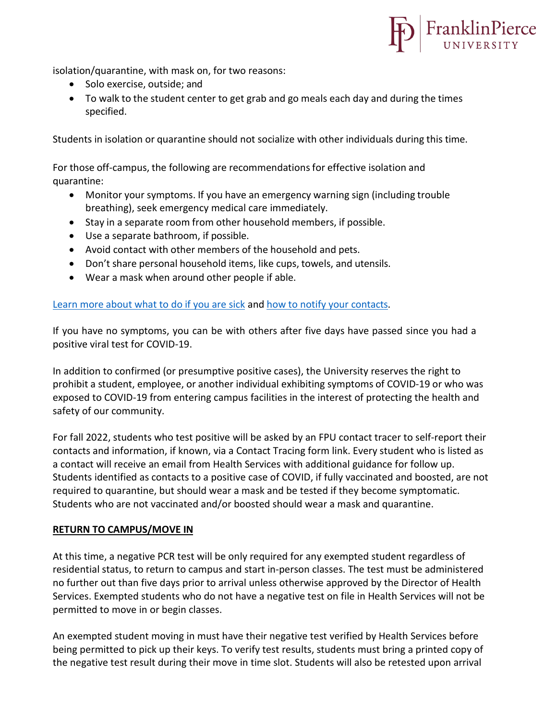

isolation/quarantine, with mask on, for two reasons:

- Solo exercise, outside; and
- To walk to the student center to get grab and go meals each day and during the times specified.

Students in isolation or quarantine should not socialize with other individuals during this time.

For those off-campus, the following are recommendationsfor effective isolation and quarantine:

- Monitor your symptoms. If you have an emergency warning sign (including trouble breathing), seek emergency medical care immediately.
- Stay in a separate room from other household members, if possible.
- Use a separate bathroom, if possible.
- Avoid contact with other members of the household and pets.
- Don't share personal household items, like cups, towels, and utensils.
- Wear a mask when around other people if able.

## Learn more about what to do if you [are sick](https://www.cdc.gov/coronavirus/2019-ncov/if-you-are-sick/steps-when-sick.html) and how to [notify your](https://www.cdc.gov/coronavirus/2019-ncov/daily-life-coping/contact-tracing.html) contacts.

If you have no symptoms, you can be with others after five days have passed since you had a positive viral test for COVID-19.

In addition to confirmed (or presumptive positive cases), the University reserves the right to prohibit a student, employee, or another individual exhibiting symptoms of COVID-19 or who was exposed to COVID-19 from entering campus facilities in the interest of protecting the health and safety of our community.

For fall 2022, students who test positive will be asked by an FPU contact tracer to self-report their contacts and information, if known, via a Contact Tracing form link. Every student who is listed as a contact will receive an email from Health Services with additional guidance for follow up. Students identified as contacts to a positive case of COVID, if fully vaccinated and boosted, are not required to quarantine, but should wear a mask and be tested if they become symptomatic. Students who are not vaccinated and/or boosted should wear a mask and quarantine.

## **RETURN TO CAMPUS/MOVE IN**

At this time, a negative PCR test will be only required for any exempted student regardless of residential status, to return to campus and start in-person classes. The test must be administered no further out than five days prior to arrival unless otherwise approved by the Director of Health Services. Exempted students who do not have a negative test on file in Health Services will not be permitted to move in or begin classes.

An exempted student moving in must have their negative test verified by Health Services before being permitted to pick up their keys. To verify test results, students must bring a printed copy of the negative test result during their move in time slot. Students will also be retested upon arrival